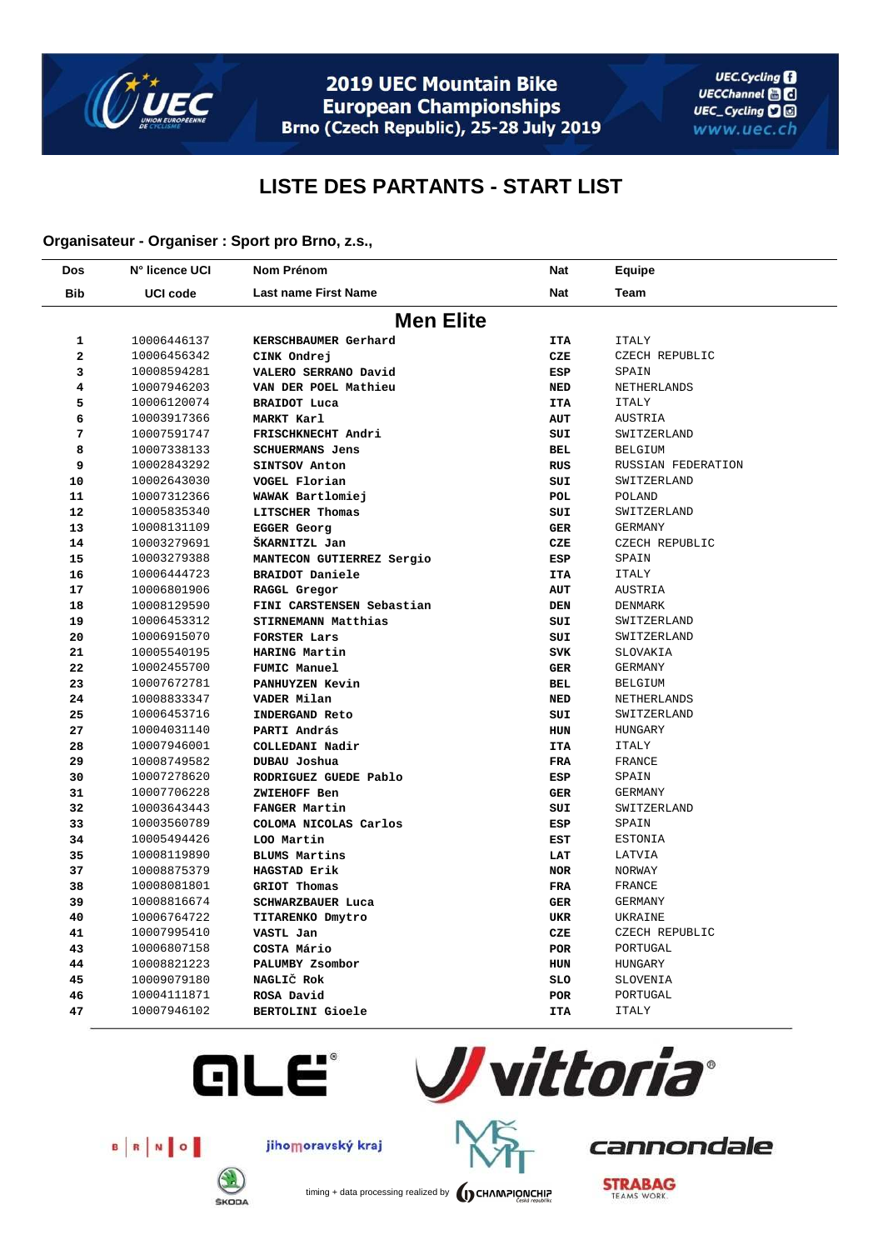

2019 UEC Mountain Bike **European Championships** Brno (Czech Republic), 25-28 July 2019

## **LISTE DES PARTANTS - START LIST**

## **Organisateur - Organiser : Sport pro Brno, z.s.,**

| Dos                     | N° licence UCI  | <b>Nom Prénom</b>           | Nat        | Equipe             |  |  |
|-------------------------|-----------------|-----------------------------|------------|--------------------|--|--|
| <b>Bib</b>              | <b>UCI code</b> | <b>Last name First Name</b> | <b>Nat</b> | Team               |  |  |
| <b>Men Elite</b>        |                 |                             |            |                    |  |  |
| 1                       | 10006446137     | KERSCHBAUMER Gerhard        | <b>ITA</b> | ITALY              |  |  |
| $\overline{a}$          | 10006456342     | CINK Ondrej                 | CZE        | CZECH REPUBLIC     |  |  |
| 3                       | 10008594281     | VALERO SERRANO David        | ESP        | SPAIN              |  |  |
| $\overline{\mathbf{4}}$ | 10007946203     | VAN DER POEL Mathieu        | <b>NED</b> | NETHERLANDS        |  |  |
| 5                       | 10006120074     | <b>BRAIDOT Luca</b>         | <b>ITA</b> | <b>ITALY</b>       |  |  |
| 6                       | 10003917366     | MARKT Karl                  | <b>AUT</b> | AUSTRIA            |  |  |
| 7                       | 10007591747     | FRISCHKNECHT Andri          | SUI        | SWITZERLAND        |  |  |
| 8                       | 10007338133     | <b>SCHUERMANS Jens</b>      | BEL        | <b>BELGIUM</b>     |  |  |
| 9                       | 10002843292     | SINTSOV Anton               | <b>RUS</b> | RUSSIAN FEDERATION |  |  |
| 10                      | 10002643030     | VOGEL Florian               | SUI        | SWITZERLAND        |  |  |
| 11                      | 10007312366     | WAWAK Bartlomiej            | POL        | <b>POLAND</b>      |  |  |
| 12                      | 10005835340     | LITSCHER Thomas             | SUI        | SWITZERLAND        |  |  |
| 13                      | 10008131109     | EGGER Georg                 | <b>GER</b> | <b>GERMANY</b>     |  |  |
| 14                      | 10003279691     | ŠKARNITZL Jan               | CZE        | CZECH REPUBLIC     |  |  |
| 15                      | 10003279388     | MANTECON GUTIERREZ Sergio   | ESP        | SPAIN              |  |  |
| 16                      | 10006444723     | BRAIDOT Daniele             | <b>ITA</b> | ITALY              |  |  |
| 17                      | 10006801906     | RAGGL Gregor                | AUT        | AUSTRIA            |  |  |
| 18                      | 10008129590     | FINI CARSTENSEN Sebastian   | <b>DEN</b> | DENMARK            |  |  |
| 19                      | 10006453312     | STIRNEMANN Matthias         | SUI        | SWITZERLAND        |  |  |
| 20                      | 10006915070     | FORSTER Lars                | SUI        | SWITZERLAND        |  |  |
| 21                      | 10005540195     | HARING Martin               | <b>SVK</b> | SLOVAKIA           |  |  |
| 22                      | 10002455700     | FUMIC Manuel                | <b>GER</b> | GERMANY            |  |  |
| 23                      | 10007672781     | PANHUYZEN Kevin             | BEL        | <b>BELGIUM</b>     |  |  |
| 24                      | 10008833347     | VADER Milan                 | <b>NED</b> | NETHERLANDS        |  |  |
| 25                      | 10006453716     | <b>INDERGAND Reto</b>       | SUI        | SWITZERLAND        |  |  |
| 27                      | 10004031140     | PARTI András                | HUN        | HUNGARY            |  |  |
| 28                      | 10007946001     | COLLEDANI Nadir             | <b>ITA</b> | <b>ITALY</b>       |  |  |
| 29                      | 10008749582     | DUBAU Joshua                | <b>FRA</b> | FRANCE             |  |  |
| 30                      | 10007278620     | RODRIGUEZ GUEDE Pablo       | ESP        | SPAIN              |  |  |
| 31                      | 10007706228     | ZWIEHOFF Ben                | <b>GER</b> | <b>GERMANY</b>     |  |  |
| 32                      | 10003643443     | FANGER Martin               | SUI        | SWITZERLAND        |  |  |
| 33                      | 10003560789     | COLOMA NICOLAS Carlos       | ESP        | SPAIN              |  |  |
| 34                      | 10005494426     | LOO Martin                  | EST        | ESTONIA            |  |  |
| 35                      | 10008119890     | BLUMS Martins               | LAT        | LATVIA             |  |  |
| 37                      | 10008875379     | HAGSTAD Erik                | <b>NOR</b> | NORWAY             |  |  |
| 38                      | 10008081801     | GRIOT Thomas                | FRA        | FRANCE             |  |  |
| 39                      | 10008816674     | SCHWARZBAUER Luca           | <b>GER</b> | <b>GERMANY</b>     |  |  |
| 40                      | 10006764722     | TITARENKO Dmytro            | UKR        | UKRAINE            |  |  |
| 41                      | 10007995410     | VASTL Jan                   | CZE        | CZECH REPUBLIC     |  |  |
| 43                      | 10006807158     | COSTA Mário                 | <b>POR</b> | PORTUGAL           |  |  |
| 44                      | 10008821223     | PALUMBY Zsombor             | HUN        | HUNGARY            |  |  |
| 45                      | 10009079180     | NAGLIČ Rok                  | SLO        | SLOVENIA           |  |  |
| 46                      | 10004111871     | ROSA David                  | <b>POR</b> | PORTUGAL           |  |  |
| 47                      | 10007946102     | <b>BERTOLINI Gioele</b>     | <b>ITA</b> | <b>ITALY</b>       |  |  |